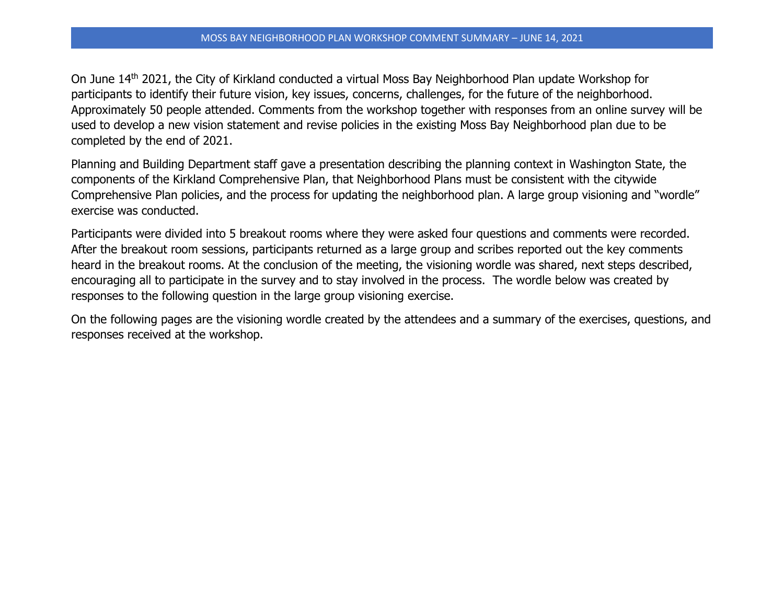On June 14th 2021, the City of Kirkland conducted a virtual Moss Bay Neighborhood Plan update Workshop for participants to identify their future vision, key issues, concerns, challenges, for the future of the neighborhood. Approximately 50 people attended. Comments from the workshop together with responses from an online survey will be used to develop a new vision statement and revise policies in the existing Moss Bay Neighborhood plan due to be completed by the end of 2021.

Planning and Building Department staff gave a presentation describing the planning context in Washington State, the components of the Kirkland Comprehensive Plan, that Neighborhood Plans must be consistent with the citywide Comprehensive Plan policies, and the process for updating the neighborhood plan. A large group visioning and "wordle" exercise was conducted.

Participants were divided into 5 breakout rooms where they were asked four questions and comments were recorded. After the breakout room sessions, participants returned as a large group and scribes reported out the key comments heard in the breakout rooms. At the conclusion of the meeting, the visioning wordle was shared, next steps described, encouraging all to participate in the survey and to stay involved in the process. The wordle below was created by responses to the following question in the large group visioning exercise.

On the following pages are the visioning wordle created by the attendees and a summary of the exercises, questions, and responses received at the workshop.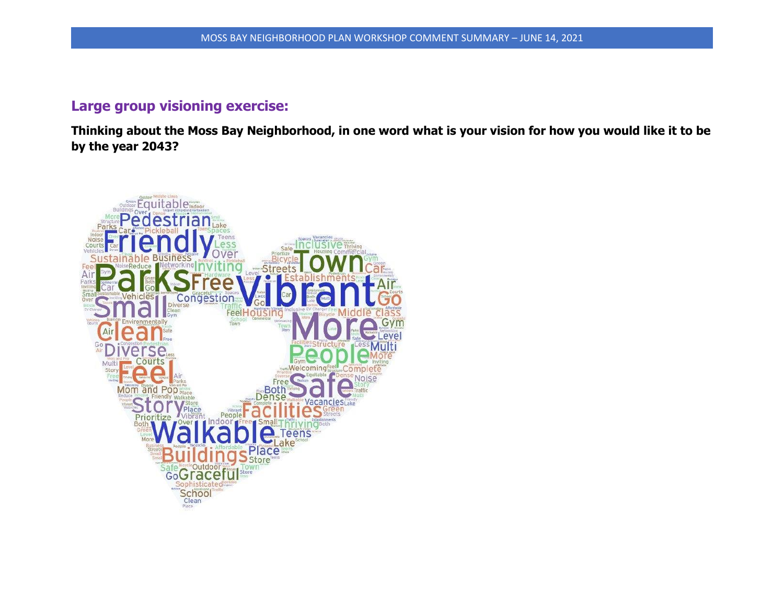## **Large group visioning exercise:**

**Thinking about the Moss Bay Neighborhood, in one word what is your vision for how you would like it to be by the year 2043?**

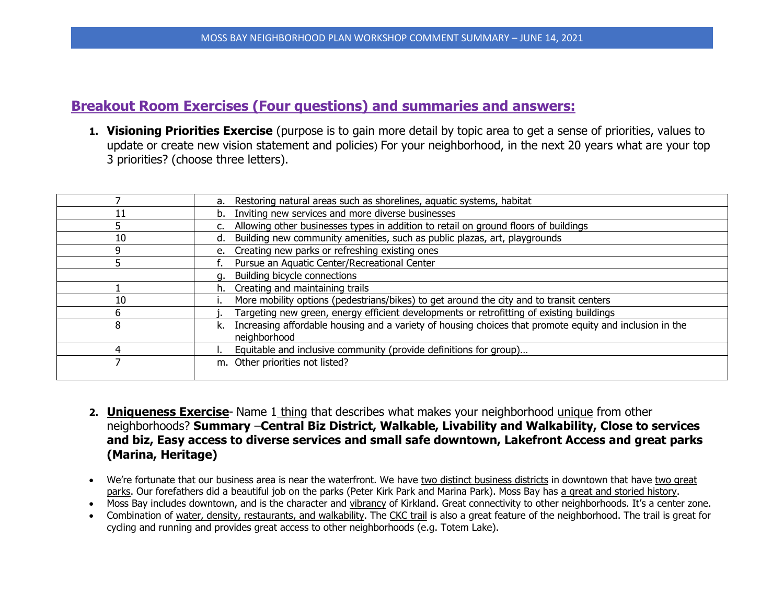## **Breakout Room Exercises (Four questions) and summaries and answers:**

**1. Visioning Priorities Exercise** (purpose is to gain more detail by topic area to get a sense of priorities, values to update or create new vision statement and policies) For your neighborhood, in the next 20 years what are your top 3 priorities? (choose three letters).

|    | a. Restoring natural areas such as shorelines, aquatic systems, habitat                                       |
|----|---------------------------------------------------------------------------------------------------------------|
|    | Inviting new services and more diverse businesses                                                             |
|    | Allowing other businesses types in addition to retail on ground floors of buildings                           |
| 10 | Building new community amenities, such as public plazas, art, playgrounds<br>d.                               |
| q  | e. Creating new parks or refreshing existing ones                                                             |
|    | Pursue an Aquatic Center/Recreational Center                                                                  |
|    | Building bicycle connections                                                                                  |
|    | Creating and maintaining trails<br>h.                                                                         |
| 10 | More mobility options (pedestrians/bikes) to get around the city and to transit centers                       |
| 6  | Targeting new green, energy efficient developments or retrofitting of existing buildings                      |
| 8  | Increasing affordable housing and a variety of housing choices that promote equity and inclusion in the<br>k. |
|    | neighborhood                                                                                                  |
| 4  | Equitable and inclusive community (provide definitions for group)                                             |
|    | m. Other priorities not listed?                                                                               |
|    |                                                                                                               |

- **2. Uniqueness Exercise** Name 1 thing that describes what makes your neighborhood unique from other neighborhoods? **Summary** –**Central Biz District, Walkable, Livability and Walkability, Close to services and biz, Easy access to diverse services and small safe downtown, Lakefront Access and great parks (Marina, Heritage)**
- We're fortunate that our business area is near the waterfront. We have two distinct business districts in downtown that have two great parks. Our forefathers did a beautiful job on the parks (Peter Kirk Park and Marina Park). Moss Bay has a great and storied history.
- Moss Bay includes downtown, and is the character and vibrancy of Kirkland. Great connectivity to other neighborhoods. It's a center zone.
- Combination of water, density, restaurants, and walkability. The CKC trail is also a great feature of the neighborhood. The trail is great for cycling and running and provides great access to other neighborhoods (e.g. Totem Lake).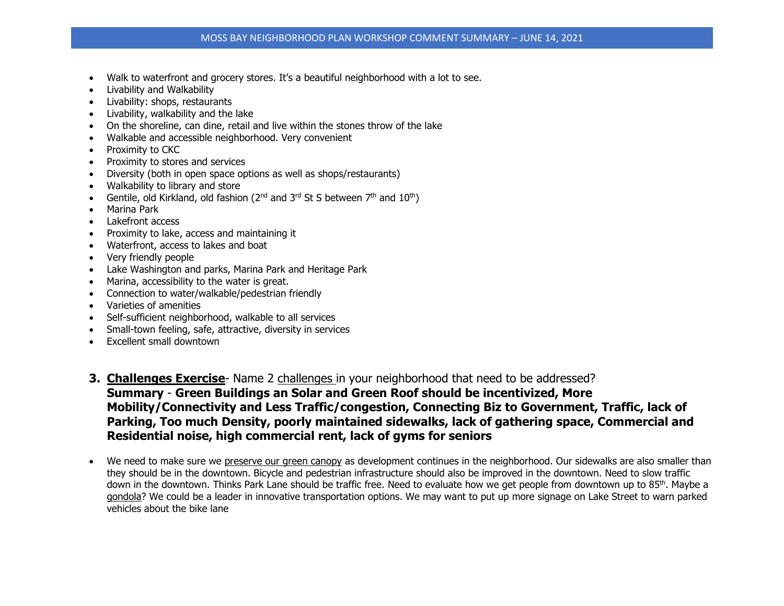- Walk to waterfront and grocery stores. It's a beautiful neighborhood with a lot to see.
- Livability and Walkability
- Livability: shops, restaurants
- Livability, walkability and the lake
- On the shoreline, can dine, retail and live within the stones throw of the lake
- Walkable and accessible neighborhood. Very convenient
- Proximity to CKC
- Proximity to stores and services
- Diversity (both in open space options as well as shops/restaurants)
- Walkability to library and store
- Gentile, old Kirkland, old fashion ( $2^{nd}$  and  $3^{rd}$  St S between  $7^{th}$  and  $10^{th}$ )
- Marina Park
- Lakefront access
- Proximity to lake, access and maintaining it
- Waterfront, access to lakes and boat
- Very friendly people
- Lake Washington and parks, Marina Park and Heritage Park
- Marina, accessibility to the water is great.
- Connection to water/walkable/pedestrian friendly
- Varieties of amenities
- Self-sufficient neighborhood, walkable to all services
- Small-town feeling, safe, attractive, diversity in services
- Excellent small downtown
- **3. Challenges Exercise** Name 2 challenges in your neighborhood that need to be addressed? **Summary** - **Green Buildings an Solar and Green Roof should be incentivized, More Mobility/Connectivity and Less Traffic/congestion, Connecting Biz to Government, Traffic, lack of Parking, Too much Density, poorly maintained sidewalks, lack of gathering space, Commercial and Residential noise, high commercial rent, lack of gyms for seniors**
- We need to make sure we preserve our green canopy as development continues in the neighborhood. Our sidewalks are also smaller than they should be in the downtown. Bicycle and pedestrian infrastructure should also be improved in the downtown. Need to slow traffic down in the downtown. Thinks Park Lane should be traffic free. Need to evaluate how we get people from downtown up to 85<sup>th</sup>. Maybe a gondola? We could be a leader in innovative transportation options. We may want to put up more signage on Lake Street to warn parked vehicles about the bike lane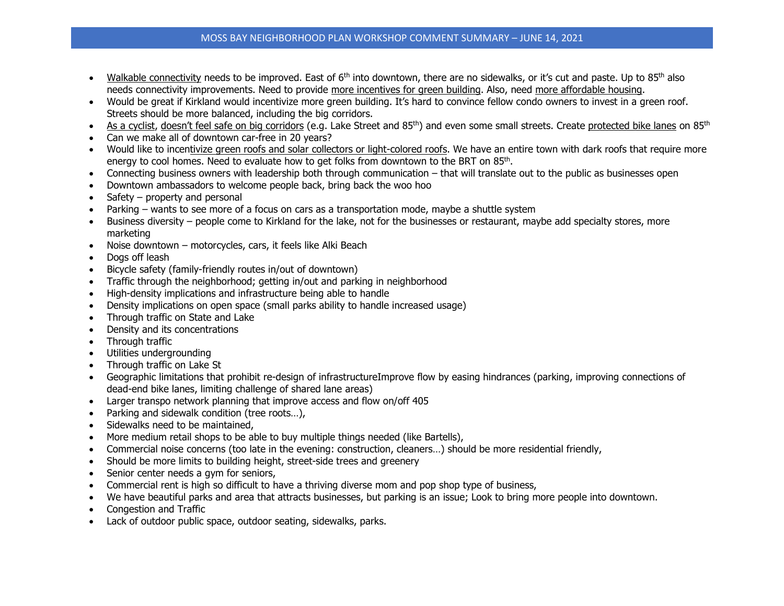## MOSS BAY NEIGHBORHOOD PLAN WORKSHOP COMMENT SUMMARY – JUNE 14, 2021

- Walkable connectivity needs to be improved. East of  $6<sup>th</sup>$  into downtown, there are no sidewalks, or it's cut and paste. Up to 85<sup>th</sup> also needs connectivity improvements. Need to provide more incentives for green building. Also, need more affordable housing.
- Would be great if Kirkland would incentivize more green building. It's hard to convince fellow condo owners to invest in a green roof. Streets should be more balanced, including the big corridors.
- As a cyclist, doesn't feel safe on big corridors (e.g. Lake Street and 85<sup>th</sup>) and even some small streets. Create protected bike lanes on 85<sup>th</sup>
- Can we make all of downtown car-free in 20 years?
- Would like to incentivize green roofs and solar collectors or light-colored roofs. We have an entire town with dark roofs that require more energy to cool homes. Need to evaluate how to get folks from downtown to the BRT on 85<sup>th</sup>.
- Connecting business owners with leadership both through communication that will translate out to the public as businesses open
- Downtown ambassadors to welcome people back, bring back the woo hoo
- Safety property and personal
- Parking wants to see more of a focus on cars as a transportation mode, maybe a shuttle system
- Business diversity people come to Kirkland for the lake, not for the businesses or restaurant, maybe add specialty stores, more marketing
- Noise downtown motorcycles, cars, it feels like Alki Beach
- Dogs off leash
- Bicycle safety (family-friendly routes in/out of downtown)
- Traffic through the neighborhood; getting in/out and parking in neighborhood
- High-density implications and infrastructure being able to handle
- Density implications on open space (small parks ability to handle increased usage)
- Through traffic on State and Lake
- Density and its concentrations
- Through traffic
- Utilities undergrounding
- Through traffic on Lake St
- Geographic limitations that prohibit re-design of infrastructureImprove flow by easing hindrances (parking, improving connections of dead-end bike lanes, limiting challenge of shared lane areas)
- Larger transpo network planning that improve access and flow on/off 405
- Parking and sidewalk condition (tree roots...),
- Sidewalks need to be maintained,
- More medium retail shops to be able to buy multiple things needed (like Bartells),
- Commercial noise concerns (too late in the evening: construction, cleaners…) should be more residential friendly,
- Should be more limits to building height, street-side trees and greenery
- Senior center needs a gym for seniors,
- Commercial rent is high so difficult to have a thriving diverse mom and pop shop type of business,
- We have beautiful parks and area that attracts businesses, but parking is an issue; Look to bring more people into downtown.
- Congestion and Traffic
- Lack of outdoor public space, outdoor seating, sidewalks, parks.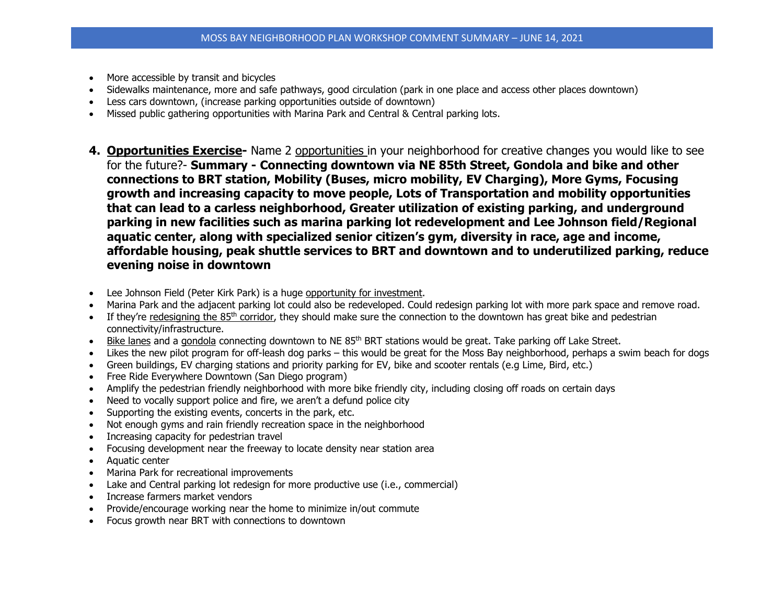- More accessible by transit and bicycles
- Sidewalks maintenance, more and safe pathways, good circulation (park in one place and access other places downtown)
- Less cars downtown, (increase parking opportunities outside of downtown)
- Missed public gathering opportunities with Marina Park and Central & Central parking lots.
- **4. Opportunities Exercise-** Name 2 opportunities in your neighborhood for creative changes you would like to see for the future?- **Summary - Connecting downtown via NE 85th Street, Gondola and bike and other connections to BRT station, Mobility (Buses, micro mobility, EV Charging), More Gyms, Focusing growth and increasing capacity to move people, Lots of Transportation and mobility opportunities that can lead to a carless neighborhood, Greater utilization of existing parking, and underground parking in new facilities such as marina parking lot redevelopment and Lee Johnson field/Regional aquatic center, along with specialized senior citizen's gym, diversity in race, age and income, affordable housing, peak shuttle services to BRT and downtown and to underutilized parking, reduce evening noise in downtown**
- Lee Johnson Field (Peter Kirk Park) is a huge opportunity for investment.
- Marina Park and the adjacent parking lot could also be redeveloped. Could redesign parking lot with more park space and remove road.
- If they're redesigning the 85<sup>th</sup> corridor, they should make sure the connection to the downtown has great bike and pedestrian connectivity/infrastructure.
- Bike lanes and a gondola connecting downtown to NE 85<sup>th</sup> BRT stations would be great. Take parking off Lake Street.
- Likes the new pilot program for off-leash dog parks this would be great for the Moss Bay neighborhood, perhaps a swim beach for dogs
- Green buildings, EV charging stations and priority parking for EV, bike and scooter rentals (e.g Lime, Bird, etc.)
- Free Ride Everywhere Downtown (San Diego program)
- Amplify the pedestrian friendly neighborhood with more bike friendly city, including closing off roads on certain days
- Need to vocally support police and fire, we aren't a defund police city
- Supporting the existing events, concerts in the park, etc.
- Not enough gyms and rain friendly recreation space in the neighborhood
- Increasing capacity for pedestrian travel
- Focusing development near the freeway to locate density near station area
- Aquatic center
- Marina Park for recreational improvements
- Lake and Central parking lot redesign for more productive use (i.e., commercial)
- Increase farmers market vendors
- Provide/encourage working near the home to minimize in/out commute
- Focus growth near BRT with connections to downtown